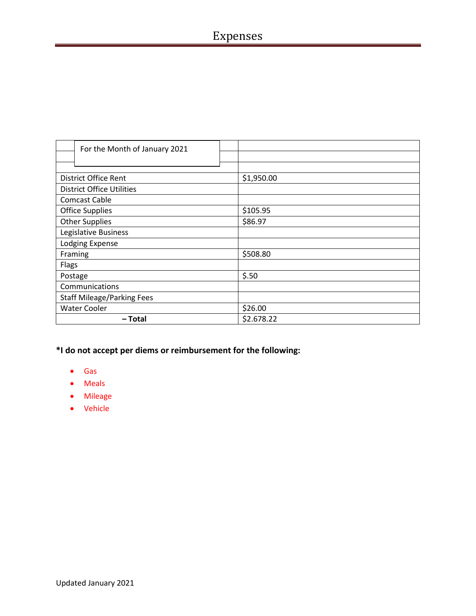# Expenses

| For the Month of January 2021     |            |
|-----------------------------------|------------|
|                                   |            |
|                                   |            |
| District Office Rent              | \$1,950.00 |
| <b>District Office Utilities</b>  |            |
| <b>Comcast Cable</b>              |            |
| <b>Office Supplies</b>            | \$105.95   |
| <b>Other Supplies</b>             | \$86.97    |
| Legislative Business              |            |
| Lodging Expense                   |            |
| Framing                           | \$508.80   |
| Flags                             |            |
| Postage                           | \$.50      |
| Communications                    |            |
| <b>Staff Mileage/Parking Fees</b> |            |
| <b>Water Cooler</b>               | \$26.00    |
| – Total                           | \$2.678.22 |

- Gas
- Meals
- Mileage
- Vehicle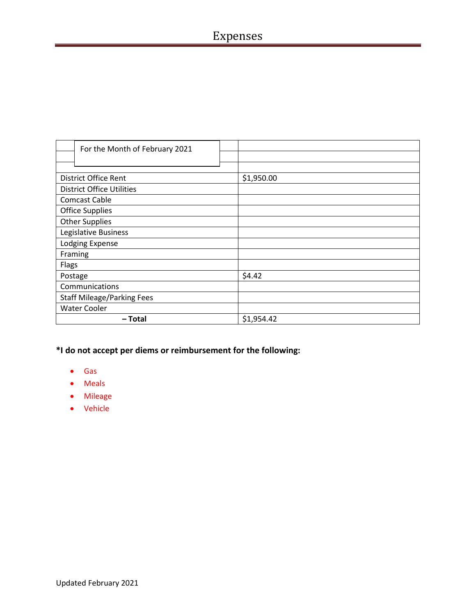| For the Month of February 2021    |            |
|-----------------------------------|------------|
|                                   |            |
|                                   |            |
| <b>District Office Rent</b>       | \$1,950.00 |
| <b>District Office Utilities</b>  |            |
| <b>Comcast Cable</b>              |            |
| <b>Office Supplies</b>            |            |
| <b>Other Supplies</b>             |            |
| Legislative Business              |            |
| Lodging Expense                   |            |
| Framing                           |            |
| <b>Flags</b>                      |            |
| Postage                           | \$4.42     |
| Communications                    |            |
| <b>Staff Mileage/Parking Fees</b> |            |
| <b>Water Cooler</b>               |            |
| – Total                           | \$1,954.42 |

- Gas
- Meals
- Mileage
- Vehicle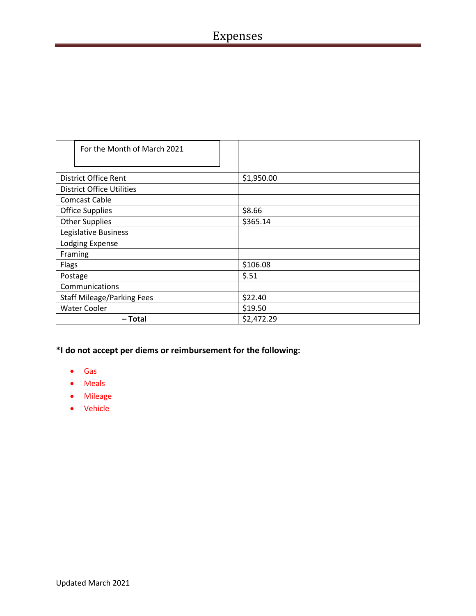# Expenses

| For the Month of March 2021       |            |
|-----------------------------------|------------|
|                                   |            |
|                                   |            |
| District Office Rent              | \$1,950.00 |
| <b>District Office Utilities</b>  |            |
| <b>Comcast Cable</b>              |            |
| <b>Office Supplies</b>            | \$8.66     |
| <b>Other Supplies</b>             | \$365.14   |
| Legislative Business              |            |
| <b>Lodging Expense</b>            |            |
| Framing                           |            |
| Flags                             | \$106.08   |
| Postage                           | \$.51      |
| Communications                    |            |
| <b>Staff Mileage/Parking Fees</b> | \$22.40    |
| <b>Water Cooler</b>               | \$19.50    |
| – Total                           | \$2,472.29 |

- Gas
- Meals
- Mileage
- Vehicle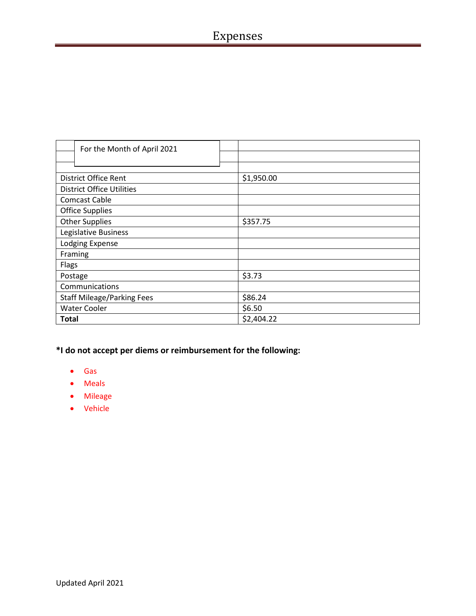| For the Month of April 2021       |            |
|-----------------------------------|------------|
|                                   |            |
|                                   |            |
| <b>District Office Rent</b>       | \$1,950.00 |
| <b>District Office Utilities</b>  |            |
| <b>Comcast Cable</b>              |            |
| <b>Office Supplies</b>            |            |
| <b>Other Supplies</b>             | \$357.75   |
| Legislative Business              |            |
| Lodging Expense                   |            |
| Framing                           |            |
| Flags                             |            |
| Postage                           | \$3.73     |
| Communications                    |            |
| <b>Staff Mileage/Parking Fees</b> | \$86.24    |
| <b>Water Cooler</b>               | \$6.50     |
| <b>Total</b>                      | \$2,404.22 |

- Gas
- Meals
- Mileage
- Vehicle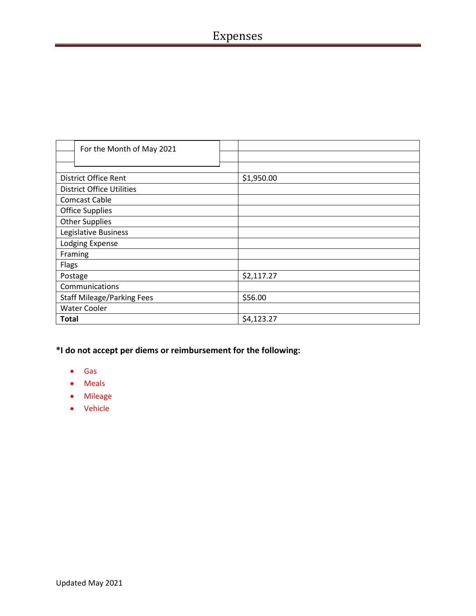| For the Month of May 2021         |            |
|-----------------------------------|------------|
|                                   |            |
|                                   |            |
| <b>District Office Rent</b>       | \$1,950.00 |
| <b>District Office Utilities</b>  |            |
| <b>Comcast Cable</b>              |            |
| <b>Office Supplies</b>            |            |
| <b>Other Supplies</b>             |            |
| Legislative Business              |            |
| Lodging Expense                   |            |
| Framing                           |            |
| Flags                             |            |
| Postage                           | \$2,117.27 |
| Communications                    |            |
| <b>Staff Mileage/Parking Fees</b> | \$56.00    |
| <b>Water Cooler</b>               |            |
| <b>Total</b>                      | \$4,123.27 |

- Gas
- Meals
- Mileage
- Vehicle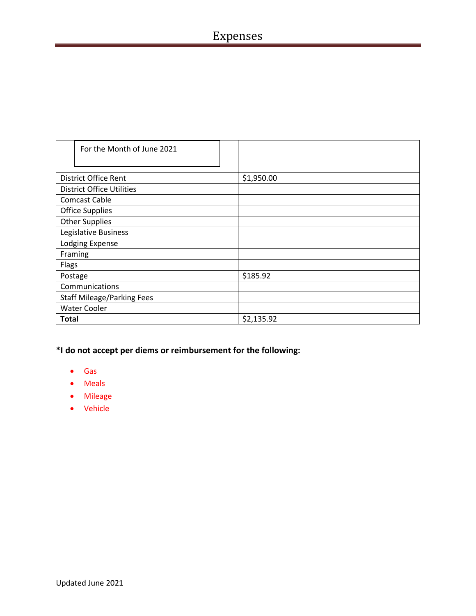| For the Month of June 2021        |            |
|-----------------------------------|------------|
|                                   |            |
|                                   |            |
| District Office Rent              | \$1,950.00 |
| <b>District Office Utilities</b>  |            |
| <b>Comcast Cable</b>              |            |
| <b>Office Supplies</b>            |            |
| <b>Other Supplies</b>             |            |
| Legislative Business              |            |
| <b>Lodging Expense</b>            |            |
| Framing                           |            |
| Flags                             |            |
| Postage                           | \$185.92   |
| Communications                    |            |
| <b>Staff Mileage/Parking Fees</b> |            |
| <b>Water Cooler</b>               |            |
| <b>Total</b>                      | \$2,135.92 |

- Gas
- Meals
- Mileage
- Vehicle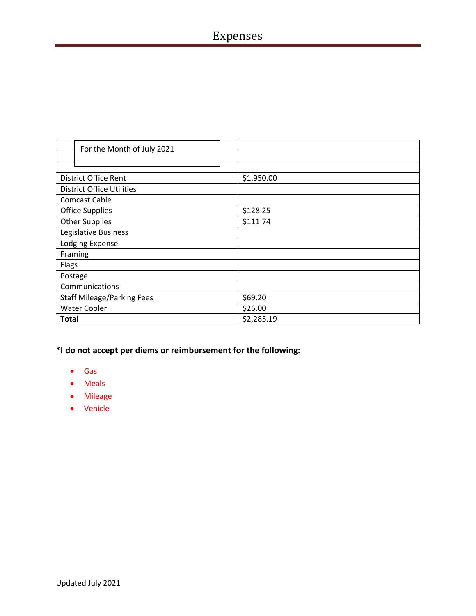| For the Month of July 2021        |            |
|-----------------------------------|------------|
|                                   |            |
|                                   |            |
| District Office Rent              | \$1,950.00 |
| <b>District Office Utilities</b>  |            |
| <b>Comcast Cable</b>              |            |
| <b>Office Supplies</b>            | \$128.25   |
| <b>Other Supplies</b>             | \$111.74   |
| Legislative Business              |            |
| Lodging Expense                   |            |
| Framing                           |            |
| Flags                             |            |
| Postage                           |            |
| Communications                    |            |
| <b>Staff Mileage/Parking Fees</b> | \$69.20    |
| <b>Water Cooler</b>               | \$26.00    |
| <b>Total</b>                      | \$2,285.19 |

- Gas
- Meals
- Mileage
- Vehicle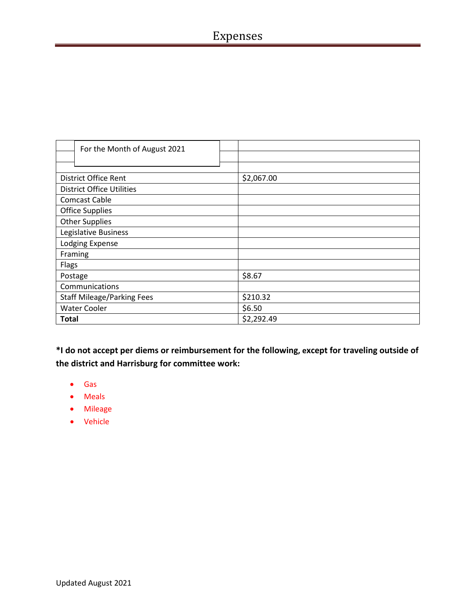| For the Month of August 2021      |            |
|-----------------------------------|------------|
|                                   |            |
|                                   |            |
| <b>District Office Rent</b>       | \$2,067.00 |
| <b>District Office Utilities</b>  |            |
| <b>Comcast Cable</b>              |            |
| <b>Office Supplies</b>            |            |
| <b>Other Supplies</b>             |            |
| Legislative Business              |            |
| Lodging Expense                   |            |
| Framing                           |            |
| Flags                             |            |
| Postage                           | \$8.67     |
| Communications                    |            |
| <b>Staff Mileage/Parking Fees</b> | \$210.32   |
| <b>Water Cooler</b>               | \$6.50     |
| Total                             | \$2,292.49 |

- Gas
- Meals
- Mileage
- Vehicle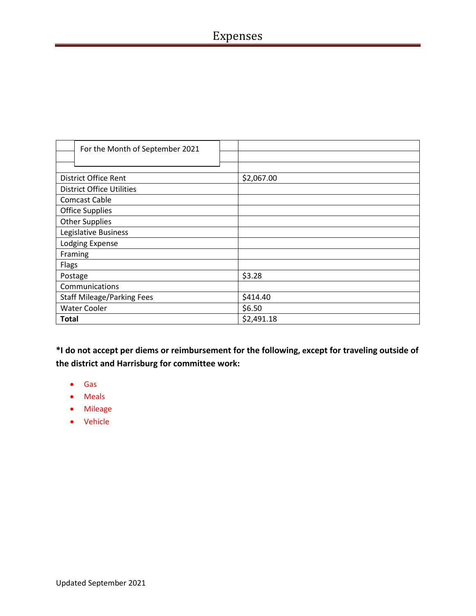| For the Month of September 2021   |            |
|-----------------------------------|------------|
|                                   |            |
|                                   |            |
| <b>District Office Rent</b>       | \$2,067.00 |
| <b>District Office Utilities</b>  |            |
| <b>Comcast Cable</b>              |            |
| <b>Office Supplies</b>            |            |
| <b>Other Supplies</b>             |            |
| Legislative Business              |            |
| Lodging Expense                   |            |
| Framing                           |            |
| Flags                             |            |
| Postage                           | \$3.28     |
| Communications                    |            |
| <b>Staff Mileage/Parking Fees</b> | \$414.40   |
| <b>Water Cooler</b>               | \$6.50     |
| <b>Total</b>                      | \$2,491.18 |

- Gas
- Meals
- Mileage
- Vehicle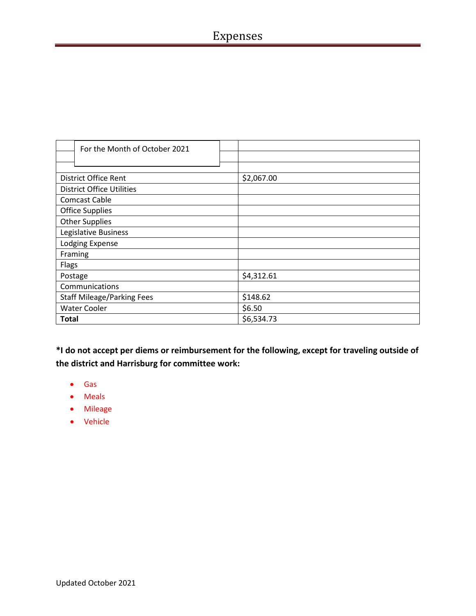| For the Month of October 2021     |            |
|-----------------------------------|------------|
|                                   |            |
|                                   |            |
| <b>District Office Rent</b>       | \$2,067.00 |
| <b>District Office Utilities</b>  |            |
| <b>Comcast Cable</b>              |            |
| <b>Office Supplies</b>            |            |
| <b>Other Supplies</b>             |            |
| Legislative Business              |            |
| Lodging Expense                   |            |
| Framing                           |            |
| <b>Flags</b>                      |            |
| Postage                           | \$4,312.61 |
| Communications                    |            |
| <b>Staff Mileage/Parking Fees</b> | \$148.62   |
| <b>Water Cooler</b>               | \$6.50     |
| <b>Total</b>                      | \$6,534.73 |

- Gas
- Meals
- Mileage
- Vehicle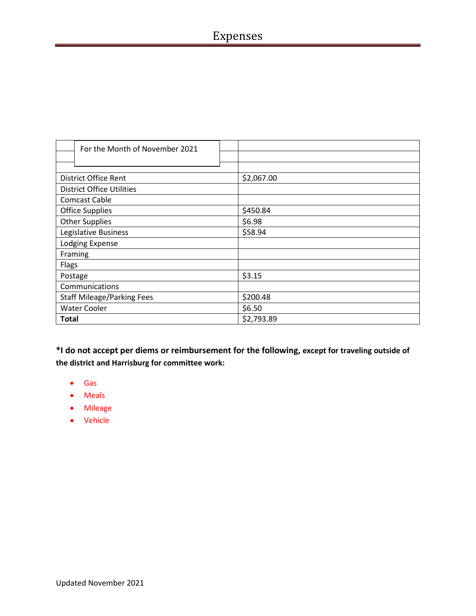## Expenses

| For the Month of November 2021    |            |
|-----------------------------------|------------|
|                                   |            |
|                                   |            |
| <b>District Office Rent</b>       | \$2,067.00 |
| <b>District Office Utilities</b>  |            |
| <b>Comcast Cable</b>              |            |
| <b>Office Supplies</b>            | \$450.84   |
| <b>Other Supplies</b>             | \$6.98     |
| Legislative Business              | \$58.94    |
| Lodging Expense                   |            |
| Framing                           |            |
| <b>Flags</b>                      |            |
| Postage                           | \$3.15     |
| Communications                    |            |
| <b>Staff Mileage/Parking Fees</b> | \$200.48   |
| <b>Water Cooler</b>               | \$6.50     |
| <b>Total</b>                      | \$2,793.89 |

- Gas
- Meals
- Mileage
- Vehicle